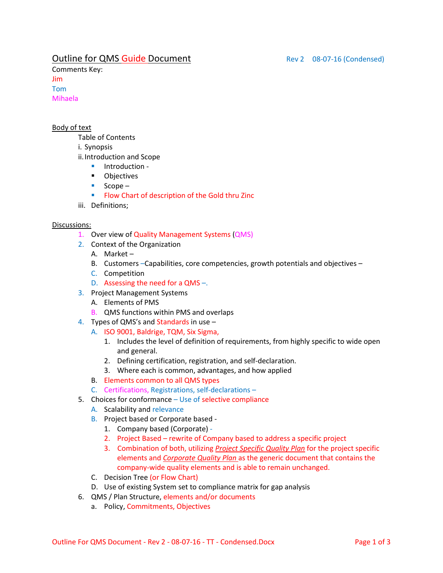## **Outline for QMS Guide Document** Rev 2 08-07-16 (Condensed)

Comments Key: Jim Tom Mihaela

#### Body of text

Table of Contents

i. Synopsis

ii.Introduction and Scope

- **Introduction -**
- **-** Objectives
- $Scope -$
- **Flow Chart of description of the Gold thru Zinc**
- iii. Definitions;

#### Discussions:

- 1. Over view of Quality Management Systems (QMS)
- 2. Context of the Organization
	- A. Market –
	- B. Customers –Capabilities, core competencies, growth potentials and objectives –
	- C. Competition
	- D. Assessing the need for a QMS –.
- 3. Project Management Systems
	- A. Elements of PMS
	- B. QMS functions within PMS and overlaps
- 4. Types of QMS's and Standards in use
	- A. ISO 9001, Baldrige, TQM, Six Sigma,
		- 1. Includes the level of definition of requirements, from highly specific to wide open and general.
		- 2. Defining certification, registration, and self-declaration.
		- 3. Where each is common, advantages, and how applied
	- B. Elements common to all QMS types
	- C. Certifications, Registrations, self-declarations –
- 5. Choices for conformance Use of selective compliance
	- A. Scalability and relevance
	- B. Project based or Corporate based
		- 1. Company based (Corporate) -
		- 2. Project Based rewrite of Company based to address a specific project
		- 3. Combination of both, utilizing *Project Specific Quality Plan* for the project specific elements and *Corporate Quality Plan* as the generic document that contains the company-wide quality elements and is able to remain unchanged.
	- C. Decision Tree (or Flow Chart)
	- D. Use of existing System set to compliance matrix for gap analysis
- 6. QMS / Plan Structure, elements and/or documents
	- a. Policy, Commitments, Objectives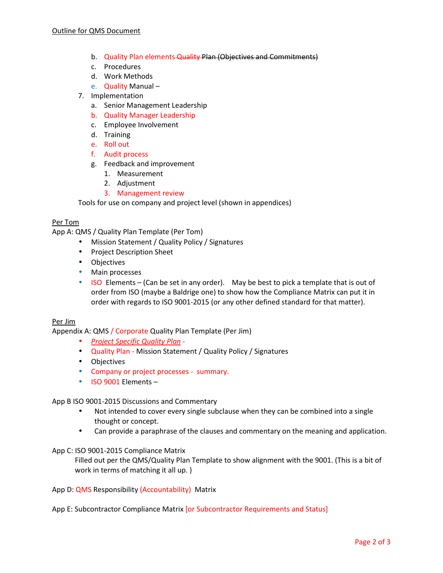- b. Quality Plan elements Quality Plan (Objectives and Commitments)
- c. Procedures
- d. Work Methods
- e. Quality Manual –
- 7. Implementation
	- a. Senior Management Leadership
	- b. Quality Manager Leadership
	- c. Employee Involvement
	- d. Training
	- e. Roll out
	- f. Audit process
	- g. Feedback and improvement
		- 1. Measurement
		- 2. Adjustment
		- 3. Management review

Tools for use on company and project level (shown in appendices)

#### Per Tom

App A: QMS / Quality Plan Template (Per Tom)

- Mission Statement / Quality Policy / Signatures
- Project Description Sheet
- Objectives
- Main processes
- ISO Elements (Can be set in any order). May be best to pick a template that is out of order from ISO (maybe a Baldrige one) to show how the Compliance Matrix can put it in order with regards to ISO 9001-2015 (or any other defined standard for that matter).

#### Per Jim

Appendix A: QMS / Corporate Quality Plan Template (Per Jim)

- *Project Specific Quality Plan* -
- Quality Plan Mission Statement / Quality Policy / Signatures
- Objectives
- Company or project processes summary.
- ISO 9001 Elements –

#### App B ISO 9001-2015 Discussions and Commentary

- Not intended to cover every single subclause when they can be combined into a single thought or concept.
- Can provide a paraphrase of the clauses and commentary on the meaning and application.

#### App C: ISO 9001-2015 Compliance Matrix

Filled out per the QMS/Quality Plan Template to show alignment with the 9001. (This is a bit of work in terms of matching it all up. )

App D: QMS Responsibility (Accountability) Matrix

App E: Subcontractor Compliance Matrix [or Subcontractor Requirements and Status]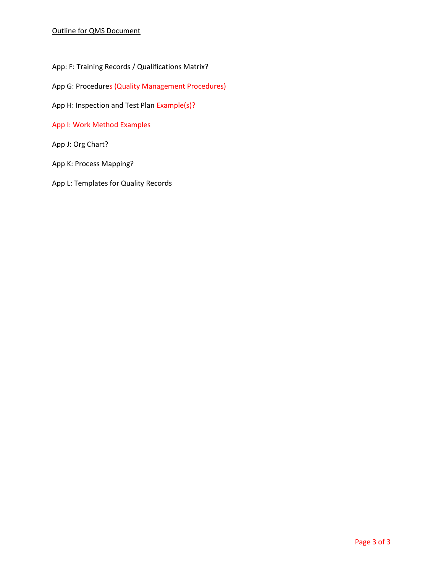App: F: Training Records / Qualifications Matrix?

App G: Procedures (Quality Management Procedures)

App H: Inspection and Test Plan Example(s)?

App I: Work Method Examples

App J: Org Chart?

App K: Process Mapping?

App L: Templates for Quality Records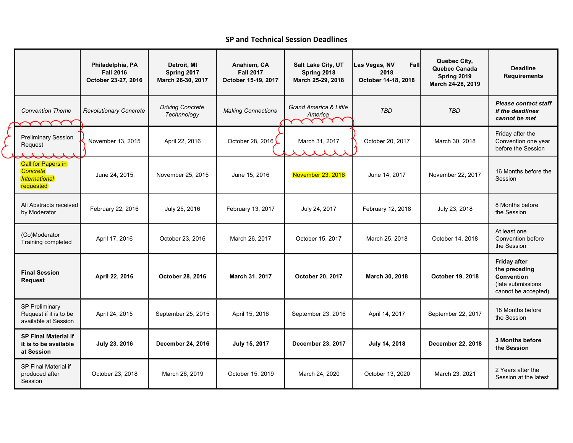## SP and Technical Session Deadlines

|  |                                                                         | Philadelphia, PA<br><b>Fall 2016</b><br>October 23-27, 2016 | Detroit, MI<br>Spring 2017<br>March 26-30, 2017 | Anahiem, CA<br><b>Fall 2017</b><br>October 15-19, 2017 | Salt Lake City, UT<br>Spring 2018<br>March 25-29, 2018 | Fall<br>Las Vegas, NV<br>2018<br>October 14-18, 2018 | Quebec City,<br>Quebec Canada<br>Spring 2019<br>March 24-28, 2019 | <b>Deadline</b><br><b>Requirements</b>                                                                 |
|--|-------------------------------------------------------------------------|-------------------------------------------------------------|-------------------------------------------------|--------------------------------------------------------|--------------------------------------------------------|------------------------------------------------------|-------------------------------------------------------------------|--------------------------------------------------------------------------------------------------------|
|  | <b>Convention Theme</b>                                                 | <b>Revolutionary Concrete</b>                               | <b>Driving Concrete</b><br>Technnology          | <b>Making Connections</b>                              | <b>Grand America &amp; Little</b><br>America<br>Y Y    | <b>TBD</b>                                           | <b>TBD</b>                                                        | <b>Please contact staff</b><br>if the deadlines<br>cannot be met                                       |
|  | <b>Preliminary Session</b><br>Request                                   | November 13, 2015                                           | April 22, 2016                                  | October 28, 2016                                       | March 31, 2017                                         | October 20, 2017                                     | March 30, 2018                                                    | Friday after the<br>Convention one year<br>before the Session                                          |
|  | <b>Call for Papers in</b><br>Concrete<br>International<br>requested     | June 24, 2015                                               | November 25, 2015                               | June 15, 2016                                          | November 23, 2016                                      | June 14, 2017                                        | November 22, 2017                                                 | 16 Months before the<br>Session                                                                        |
|  | All Abstracts received<br>by Moderator                                  | February 22, 2016                                           | July 25, 2016                                   | February 13, 2017                                      | July 24, 2017                                          | February 12, 2018                                    | July 23, 2018                                                     | 8 Months before<br>the Session                                                                         |
|  | (Co)Moderator<br>Training completed                                     | April 17, 2016                                              | October 23, 2016                                | March 26, 2017                                         | October 15, 2017                                       | March 25, 2018                                       | October 14, 2018                                                  | At least one<br>Convention before<br>the Session                                                       |
|  | <b>Final Session</b><br><b>Request</b>                                  | April 22, 2016                                              | October 28, 2016                                | March 31, 2017                                         | October 20, 2017                                       | March 30, 2018                                       | October 19, 2018                                                  | <b>Friday after</b><br>the preceding<br><b>Convention</b><br>(late submissions)<br>cannot be accepted) |
|  | <b>SP Preliminary</b><br>Request if it is to be<br>available at Session | April 24, 2015                                              | September 25, 2015                              | April 15, 2016                                         | September 23, 2016                                     | April 14, 2017                                       | September 22, 2017                                                | 18 Months before<br>the Session                                                                        |
|  | <b>SP Final Material if</b><br>it is to be available<br>at Session      | July 23, 2016                                               | December 24, 2016                               | July 15, 2017                                          | December 23, 2017                                      | July 14, 2018                                        | December 22, 2018                                                 | <b>3 Months before</b><br>the Session                                                                  |
|  | SP Final Material if<br>produced after<br>Session                       | October 23, 2018                                            | March 26, 2019                                  | October 15, 2019                                       | March 24, 2020                                         | October 13, 2020                                     | March 23, 2021                                                    | 2 Years after the<br>Session at the latest                                                             |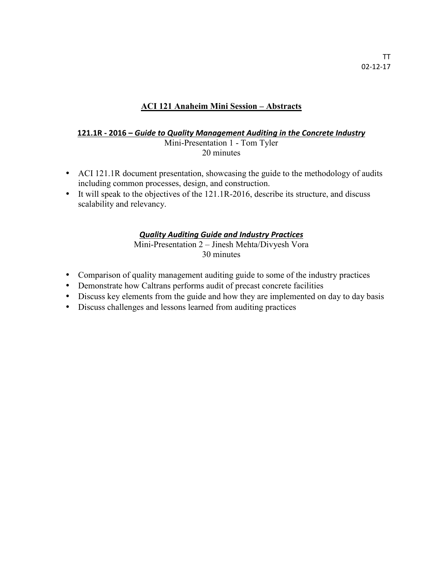## **ACI 121 Anaheim Mini Session – Abstracts**

#### **121.1R - 2016 –** *Guide to Quality Management Auditing in the Concrete Industry* Mini-Presentation 1 - Tom Tyler 20 minutes

- ACI 121.1R document presentation, showcasing the guide to the methodology of audits including common processes, design, and construction.
- It will speak to the objectives of the 121.1R-2016, describe its structure, and discuss scalability and relevancy.

### *Quality Auditing Guide and Industry Practices*

Mini-Presentation 2 – Jinesh Mehta/Divyesh Vora 30 minutes

- Comparison of quality management auditing guide to some of the industry practices
- Demonstrate how Caltrans performs audit of precast concrete facilities
- Discuss key elements from the guide and how they are implemented on day to day basis
- Discuss challenges and lessons learned from auditing practices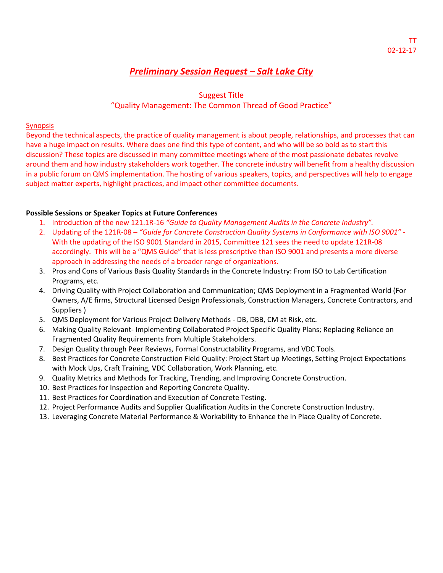## *Preliminary Session Request – Salt Lake City*

## Suggest Title "Quality Management: The Common Thread of Good Practice"

### **Synopsis**

Beyond the technical aspects, the practice of quality management is about people, relationships, and processes that can have a huge impact on results. Where does one find this type of content, and who will be so bold as to start this discussion? These topics are discussed in many committee meetings where of the most passionate debates revolve around them and how industry stakeholders work together. The concrete industry will benefit from a healthy discussion in a public forum on QMS implementation. The hosting of various speakers, topics, and perspectives will help to engage subject matter experts, highlight practices, and impact other committee documents.

### **Possible Sessions or Speaker Topics at Future Conferences**

- 1. Introduction of the new 121.1R-16 *"Guide to Quality Management Audits in the Concrete Industry".*
- 2. Updating of the 121R-08 *"Guide for Concrete Construction Quality Systems in Conformance with ISO 9001"* With the updating of the ISO 9001 Standard in 2015, Committee 121 sees the need to update 121R-08 accordingly. This will be a "QMS Guide" that is less prescriptive than ISO 9001 and presents a more diverse approach in addressing the needs of a broader range of organizations.
- 3. Pros and Cons of Various Basis Quality Standards in the Concrete Industry: From ISO to Lab Certification Programs, etc.
- 4. Driving Quality with Project Collaboration and Communication; QMS Deployment in a Fragmented World (For Owners, A/E firms, Structural Licensed Design Professionals, Construction Managers, Concrete Contractors, and Suppliers )
- 5. QMS Deployment for Various Project Delivery Methods DB, DBB, CM at Risk, etc.
- 6. Making Quality Relevant- Implementing Collaborated Project Specific Quality Plans; Replacing Reliance on Fragmented Quality Requirements from Multiple Stakeholders.
- 7. Design Quality through Peer Reviews, Formal Constructability Programs, and VDC Tools.
- 8. Best Practices for Concrete Construction Field Quality: Project Start up Meetings, Setting Project Expectations with Mock Ups, Craft Training, VDC Collaboration, Work Planning, etc.
- 9. Quality Metrics and Methods for Tracking, Trending, and Improving Concrete Construction.
- 10. Best Practices for Inspection and Reporting Concrete Quality.
- 11. Best Practices for Coordination and Execution of Concrete Testing.
- 12. Project Performance Audits and Supplier Qualification Audits in the Concrete Construction Industry.
- 13. Leveraging Concrete Material Performance & Workability to Enhance the In Place Quality of Concrete.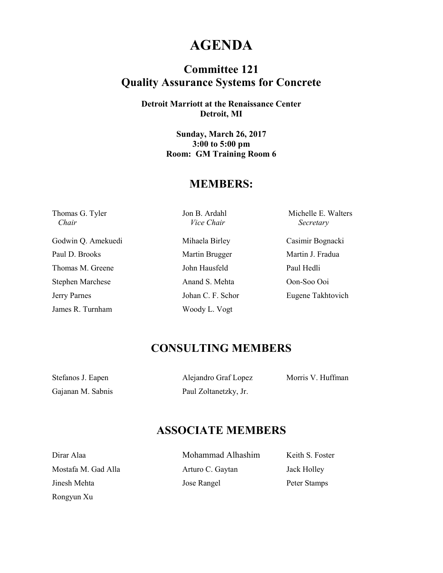## **AGENDA**

## **Committee 121 Quality Assurance Systems for Concrete**

**Detroit Marriott at the Renaissance Center Detroit, MI** 

> **Sunday, March 26, 2017 3:00 to 5:00 pm Room: GM Training Room 6**

## **MEMBERS:**

 *Chair Vice Chair Secretary* 

Thomas G. Tyler Jon B. Ardahl Michelle E. Walters

Godwin Q. Amekuedi Mihaela Birley Casimir Bognacki Paul D. Brooks Martin Brugger Martin J. Fradua Thomas M. Greene John Hausfeld Paul Hedli Stephen Marchese Anand S. Mehta Oon-Soo Ooi Jerry Parnes Johan C. F. Schor Eugene Takhtovich James R. Turnham Woody L. Vogt

## **CONSULTING MEMBERS**

Gajanan M. Sabnis Paul Zoltanetzky, Jr.

Stefanos J. Eapen Alejandro Graf Lopez Morris V. Huffman

## **ASSOCIATE MEMBERS**

Rongyun Xu

Dirar Alaa Mohammad Alhashim Keith S. Foster Mostafa M. Gad Alla **Arturo C. Gaytan** Jack Holley Jinesh Mehta Jose Rangel Peter Stamps